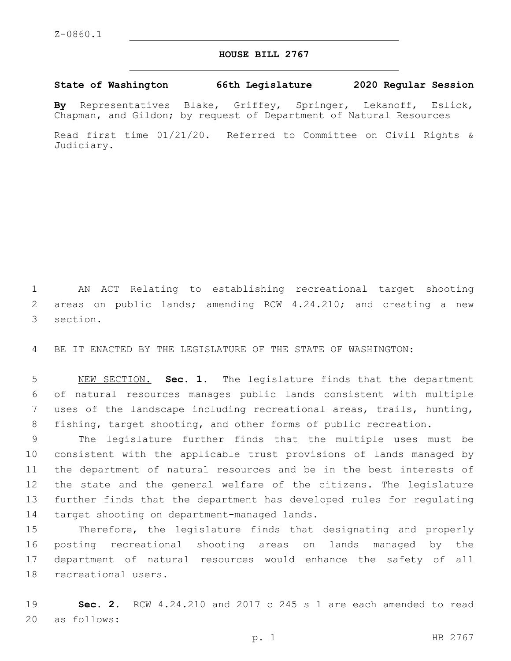## **HOUSE BILL 2767**

## **State of Washington 66th Legislature 2020 Regular Session**

**By** Representatives Blake, Griffey, Springer, Lekanoff, Eslick, Chapman, and Gildon; by request of Department of Natural Resources

Read first time 01/21/20. Referred to Committee on Civil Rights & Judiciary.

1 AN ACT Relating to establishing recreational target shooting 2 areas on public lands; amending RCW 4.24.210; and creating a new 3 section.

4 BE IT ENACTED BY THE LEGISLATURE OF THE STATE OF WASHINGTON:

 NEW SECTION. **Sec. 1.** The legislature finds that the department of natural resources manages public lands consistent with multiple uses of the landscape including recreational areas, trails, hunting, fishing, target shooting, and other forms of public recreation.

 The legislature further finds that the multiple uses must be consistent with the applicable trust provisions of lands managed by the department of natural resources and be in the best interests of the state and the general welfare of the citizens. The legislature further finds that the department has developed rules for regulating 14 target shooting on department-managed lands.

 Therefore, the legislature finds that designating and properly posting recreational shooting areas on lands managed by the department of natural resources would enhance the safety of all 18 recreational users.

19 **Sec. 2.** RCW 4.24.210 and 2017 c 245 s 1 are each amended to read 20 as follows: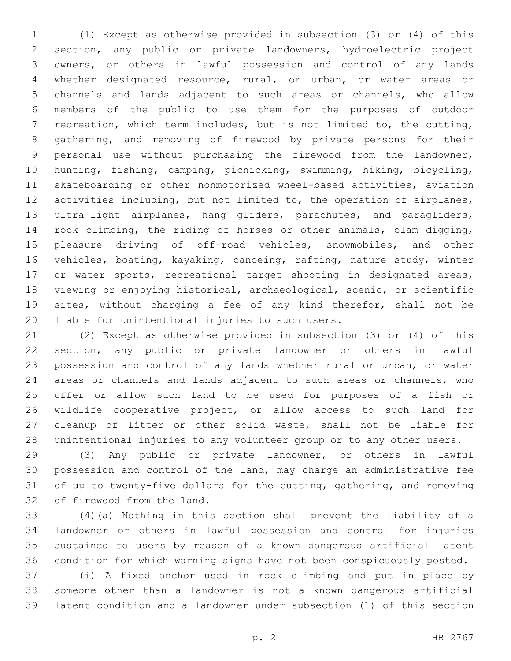(1) Except as otherwise provided in subsection (3) or (4) of this section, any public or private landowners, hydroelectric project owners, or others in lawful possession and control of any lands whether designated resource, rural, or urban, or water areas or channels and lands adjacent to such areas or channels, who allow members of the public to use them for the purposes of outdoor recreation, which term includes, but is not limited to, the cutting, gathering, and removing of firewood by private persons for their personal use without purchasing the firewood from the landowner, hunting, fishing, camping, picnicking, swimming, hiking, bicycling, skateboarding or other nonmotorized wheel-based activities, aviation activities including, but not limited to, the operation of airplanes, ultra-light airplanes, hang gliders, parachutes, and paragliders, rock climbing, the riding of horses or other animals, clam digging, pleasure driving of off-road vehicles, snowmobiles, and other vehicles, boating, kayaking, canoeing, rafting, nature study, winter 17 or water sports, recreational target shooting in designated areas, viewing or enjoying historical, archaeological, scenic, or scientific sites, without charging a fee of any kind therefor, shall not be 20 liable for unintentional injuries to such users.

 (2) Except as otherwise provided in subsection (3) or (4) of this section, any public or private landowner or others in lawful possession and control of any lands whether rural or urban, or water areas or channels and lands adjacent to such areas or channels, who offer or allow such land to be used for purposes of a fish or wildlife cooperative project, or allow access to such land for cleanup of litter or other solid waste, shall not be liable for unintentional injuries to any volunteer group or to any other users.

 (3) Any public or private landowner, or others in lawful possession and control of the land, may charge an administrative fee of up to twenty-five dollars for the cutting, gathering, and removing 32 of firewood from the land.

 (4)(a) Nothing in this section shall prevent the liability of a landowner or others in lawful possession and control for injuries sustained to users by reason of a known dangerous artificial latent condition for which warning signs have not been conspicuously posted.

 (i) A fixed anchor used in rock climbing and put in place by someone other than a landowner is not a known dangerous artificial latent condition and a landowner under subsection (1) of this section